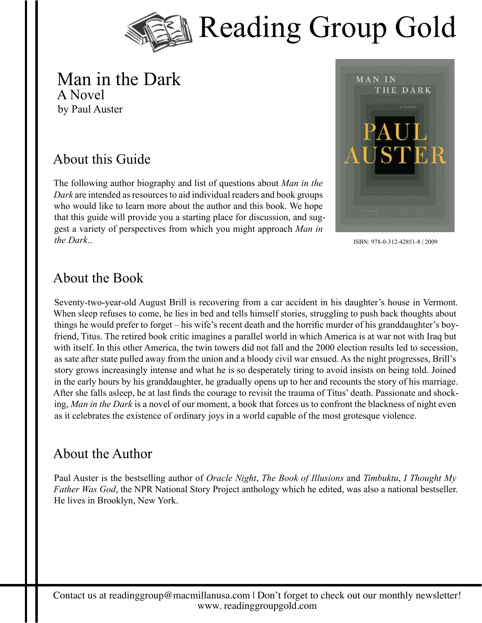

#### Man in the Dark A Novel by Paul Auster

## About this Guide

The following author biography and list of questions about *Man in the Dark* are intended as resources to aid individual readers and book groups who would like to learn more about the author and this book. We hope that this guide will provide you a starting place for discussion, and suggest a variety of perspectives from which you might approach *Man in the Dark*..



ISBN: 978-0-312-42851-8 | 2009

#### About the Book

Seventy-two-year-old August Brill is recovering from a car accident in his daughter's house in Vermont. When sleep refuses to come, he lies in bed and tells himself stories, struggling to push back thoughts about things he would prefer to forget – his wife's recent death and the horrific murder of his granddaughter's boyfriend, Titus. The retired book critic imagines a parallel world in which America is at war not with Iraq but with itself. In this other America, the twin towers did not fall and the 2000 election results led to secession, as sate after state pulled away from the union and a bloody civil war ensued. As the night progresses, Brill's story grows increasingly intense and what he is so desperately tiring to avoid insists on being told. Joined in the early hours by his granddaughter, he gradually opens up to her and recounts the story of his marriage. After she falls asleep, he at last finds the courage to revisit the trauma of Titus' death. Passionate and shocking, *Man in the Dark* is a novel of our moment, a book that forces us to confront the blackness of night even as it celebrates the existence of ordinary joys in a world capable of the most grotesque violence.

### About the Author

Paul Auster is the bestselling author of *Oracle Night*, *The Book of Illusions* and *Timbuktu*, *I Thought My Father Was God*, the NPR National Story Project anthology which he edited, was also a national bestseller. He lives in Brooklyn, New York.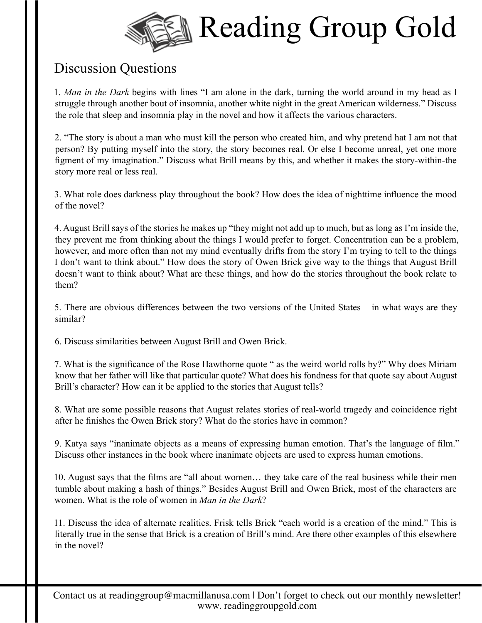

# Discussion Questions

1. *Man in the Dark* begins with lines "I am alone in the dark, turning the world around in my head as I struggle through another bout of insomnia, another white night in the great American wilderness." Discuss the role that sleep and insomnia play in the novel and how it affects the various characters.

2. "The story is about a man who must kill the person who created him, and why pretend hat I am not that person? By putting myself into the story, the story becomes real. Or else I become unreal, yet one more figment of my imagination." Discuss what Brill means by this, and whether it makes the story-within-the story more real or less real.

3. What role does darkness play throughout the book? How does the idea of nighttime influence the mood of the novel?

4. August Brill says of the stories he makes up "they might not add up to much, but as long as I'm inside the, they prevent me from thinking about the things I would prefer to forget. Concentration can be a problem, however, and more often than not my mind eventually drifts from the story I'm trying to tell to the things I don't want to think about." How does the story of Owen Brick give way to the things that August Brill doesn't want to think about? What are these things, and how do the stories throughout the book relate to them?

5. There are obvious differences between the two versions of the United States – in what ways are they similar?

6. Discuss similarities between August Brill and Owen Brick.

7. What is the significance of the Rose Hawthorne quote " as the weird world rolls by?" Why does Miriam know that her father will like that particular quote? What does his fondness for that quote say about August Brill's character? How can it be applied to the stories that August tells?

8. What are some possible reasons that August relates stories of real-world tragedy and coincidence right after he finishes the Owen Brick story? What do the stories have in common?

9. Katya says "inanimate objects as a means of expressing human emotion. That's the language of film." Discuss other instances in the book where inanimate objects are used to express human emotions.

10. August says that the films are "all about women… they take care of the real business while their men tumble about making a hash of things." Besides August Brill and Owen Brick, most of the characters are women. What is the role of women in *Man in the Dark*?

11. Discuss the idea of alternate realities. Frisk tells Brick "each world is a creation of the mind." This is literally true in the sense that Brick is a creation of Brill's mind. Are there other examples of this elsewhere in the novel?